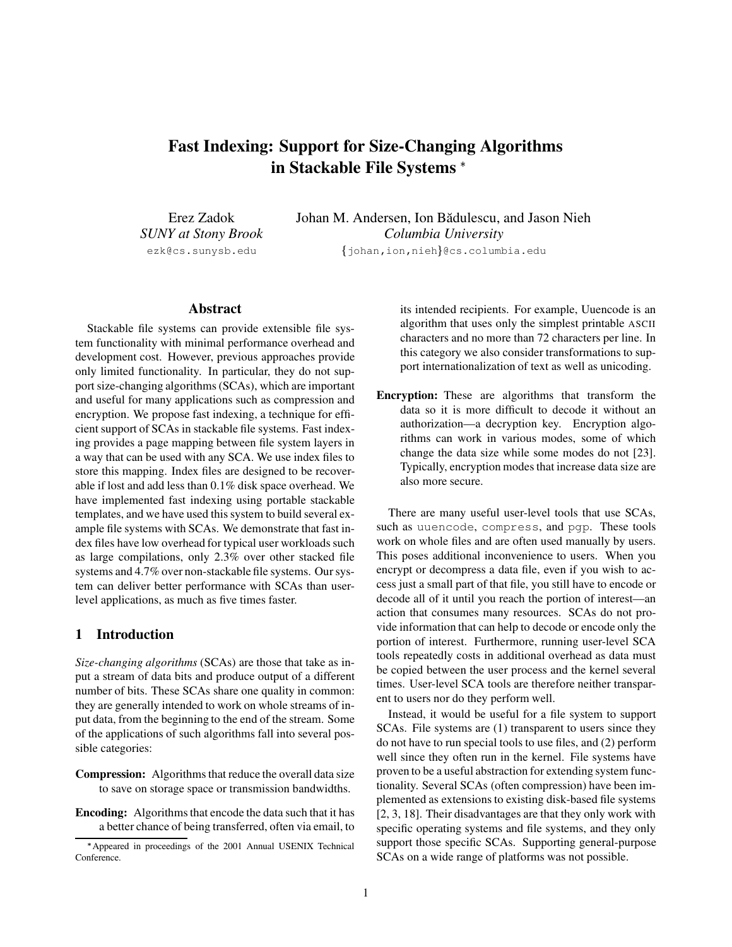# **Fast Indexing: Support for Size-Changing Algorithms in Stackable File Systems**

Erez Zadok *SUNY at Stony Brook* ezk@cs.sunysb.edu

Johan M. Andersen, Ion Bădulescu, and Jason Nieh *Columbia University*

johan,ion,nieh- @cs.columbia.edu

# **Abstract**

Stackable file systems can provide extensible file system functionality with minimal performance overhead and development cost. However, previous approaches provide only limited functionality. In particular, they do not support size-changing algorithms(SCAs), which are important and useful for many applications such as compression and encryption. We propose fast indexing, a technique for efficient support of SCAs in stackable file systems. Fast indexing provides a page mapping between file system layers in a way that can be used with any SCA. We use index files to store this mapping. Index files are designed to be recoverable if lost and add less than 0.1% disk space overhead. We have implemented fast indexing using portable stackable templates, and we have used this system to build several example file systems with SCAs. We demonstrate that fast index files have low overhead for typical user workloads such as large compilations, only 2.3% over other stacked file systems and 4.7% over non-stackable file systems. Our system can deliver better performance with SCAs than userlevel applications, as much as five times faster.

# **1 Introduction**

*Size-changing algorithms* (SCAs) are those that take as input a stream of data bits and produce output of a different number of bits. These SCAs share one quality in common: they are generally intended to work on whole streams of input data, from the beginning to the end of the stream. Some of the applications of such algorithms fall into several possible categories:

- **Compression:** Algorithms that reduce the overall data size to save on storage space or transmission bandwidths.
- **Encoding:** Algorithms that encode the data such that it has a better chance of being transferred, often via email, to

its intended recipients. For example, Uuencode is an algorithm that uses only the simplest printable ASCII characters and no more than 72 characters per line. In this category we also consider transformations to support internationalization of text as well as unicoding.

**Encryption:** These are algorithms that transform the data so it is more difficult to decode it without an authorization—a decryption key. Encryption algorithms can work in various modes, some of which change the data size while some modes do not [23]. Typically, encryption modes that increase data size are also more secure.

There are many useful user-level tools that use SCAs, such as uuencode, compress, and pgp. These tools work on whole files and are often used manually by users. This poses additional inconvenience to users. When you encrypt or decompress a data file, even if you wish to access just a small part of that file, you still have to encode or decode all of it until you reach the portion of interest—an action that consumes many resources. SCAs do not provide information that can help to decode or encode only the portion of interest. Furthermore, running user-level SCA tools repeatedly costs in additional overhead as data must be copied between the user process and the kernel several times. User-level SCA tools are therefore neither transparent to users nor do they perform well.

Instead, it would be useful for a file system to support SCAs. File systems are (1) transparent to users since they do not have to run special tools to use files, and (2) perform well since they often run in the kernel. File systems have proven to be a useful abstraction for extending system functionality. Several SCAs (often compression) have been implemented as extensions to existing disk-based file systems [2, 3, 18]. Their disadvantages are that they only work with specific operating systems and file systems, and they only support those specific SCAs. Supporting general-purpose SCAs on a wide range of platforms was not possible.

Appeared in proceedings of the 2001 Annual USENIX Technical Conference.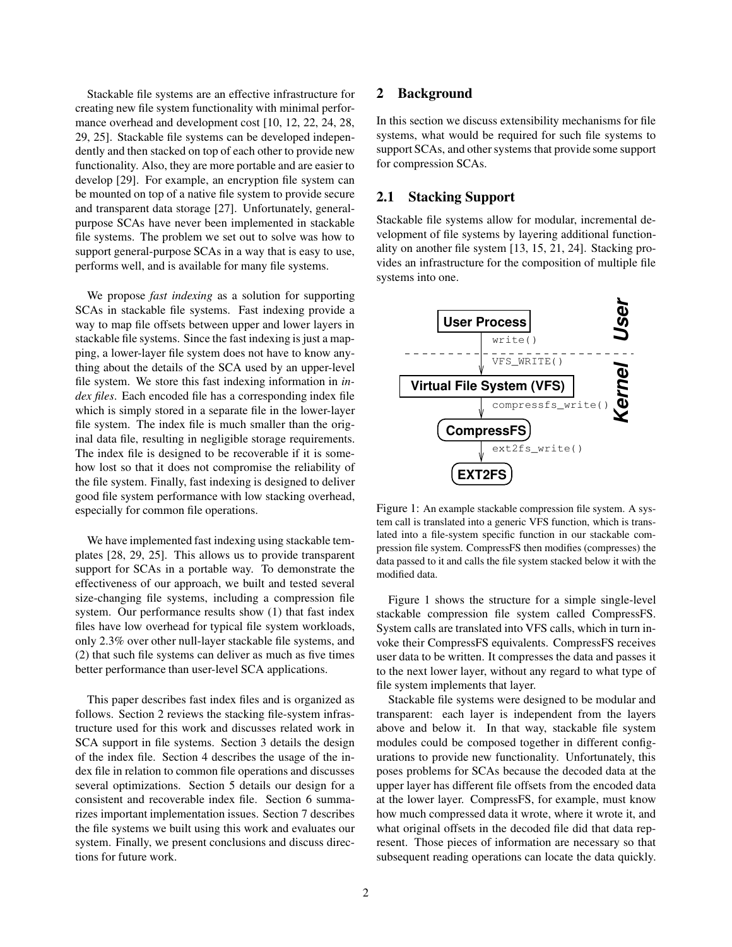Stackable file systems are an effective infrastructure for creating new file system functionality with minimal performance overhead and development cost [10, 12, 22, 24, 28, 29, 25]. Stackable file systems can be developed independently and then stacked on top of each other to provide new functionality. Also, they are more portable and are easier to develop [29]. For example, an encryption file system can be mounted on top of a native file system to provide secure and transparent data storage [27]. Unfortunately, generalpurpose SCAs have never been implemented in stackable file systems. The problem we set out to solve was how to support general-purpose SCAs in a way that is easy to use, performs well, and is available for many file systems.

We propose *fast indexing* as a solution for supporting SCAs in stackable file systems. Fast indexing provide a way to map file offsets between upper and lower layers in stackable file systems. Since the fast indexing is just a mapping, a lower-layer file system does not have to know anything about the details of the SCA used by an upper-level file system. We store this fast indexing information in *index files*. Each encoded file has a corresponding index file which is simply stored in a separate file in the lower-layer file system. The index file is much smaller than the original data file, resulting in negligible storage requirements. The index file is designed to be recoverable if it is somehow lost so that it does not compromise the reliability of the file system. Finally, fast indexing is designed to deliver good file system performance with low stacking overhead, especially for common file operations.

We have implemented fast indexing using stackable templates [28, 29, 25]. This allows us to provide transparent support for SCAs in a portable way. To demonstrate the effectiveness of our approach, we built and tested several size-changing file systems, including a compression file system. Our performance results show (1) that fast index files have low overhead for typical file system workloads, only 2.3% over other null-layer stackable file systems, and (2) that such file systems can deliver as much as five times better performance than user-level SCA applications.

This paper describes fast index files and is organized as follows. Section 2 reviews the stacking file-system infrastructure used for this work and discusses related work in SCA support in file systems. Section 3 details the design of the index file. Section 4 describes the usage of the index file in relation to common file operations and discusses several optimizations. Section 5 details our design for a consistent and recoverable index file. Section 6 summarizes important implementation issues. Section 7 describes the file systems we built using this work and evaluates our system. Finally, we present conclusions and discuss directions for future work.

### **2 Background**

In this section we discuss extensibility mechanisms for file systems, what would be required for such file systems to support SCAs, and other systems that provide some support for compression SCAs.

### **2.1 Stacking Support**

Stackable file systems allow for modular, incremental development of file systems by layering additional functionality on another file system [13, 15, 21, 24]. Stacking provides an infrastructure for the composition of multiple file systems into one.



Figure 1: An example stackable compression file system. A system call is translated into a generic VFS function, which is translated into a file-system specific function in our stackable compression file system. CompressFS then modifies (compresses) the data passed to it and calls the file system stacked below it with the modified data.

Figure 1 shows the structure for a simple single-level stackable compression file system called CompressFS. System calls are translated into VFS calls, which in turn invoke their CompressFS equivalents. CompressFS receives user data to be written. It compresses the data and passes it to the next lower layer, without any regard to what type of file system implements that layer.

Stackable file systems were designed to be modular and transparent: each layer is independent from the layers above and below it. In that way, stackable file system modules could be composed together in different configurations to provide new functionality. Unfortunately, this poses problems for SCAs because the decoded data at the upper layer has different file offsets from the encoded data at the lower layer. CompressFS, for example, must know how much compressed data it wrote, where it wrote it, and what original offsets in the decoded file did that data represent. Those pieces of information are necessary so that subsequent reading operations can locate the data quickly.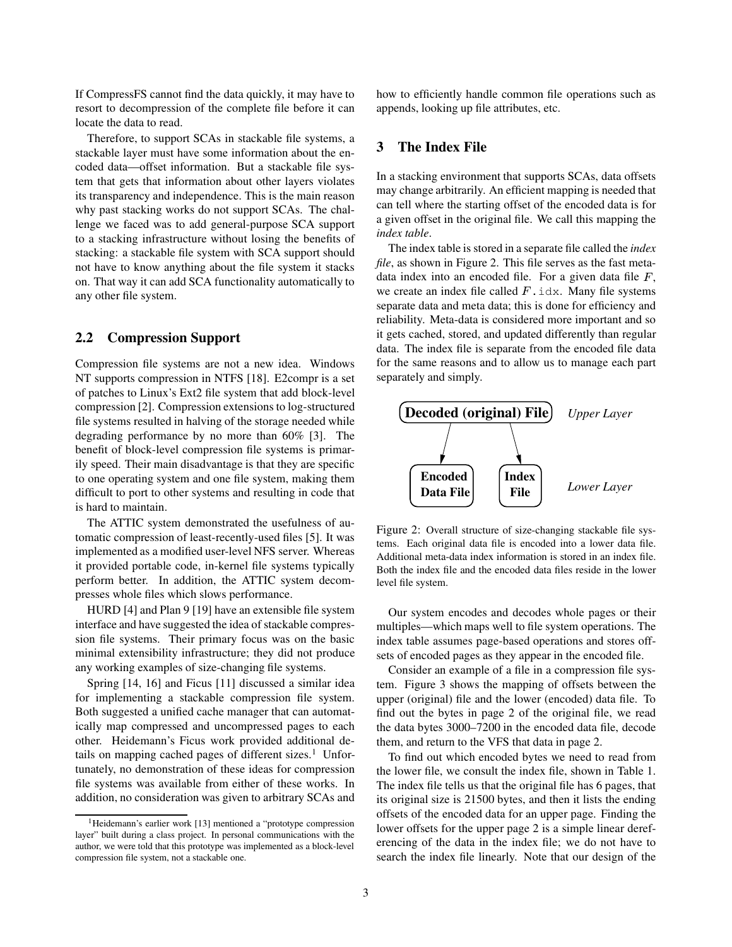If CompressFS cannot find the data quickly, it may have to resort to decompression of the complete file before it can locate the data to read.

Therefore, to support SCAs in stackable file systems, a stackable layer must have some information about the encoded data—offset information. But a stackable file system that gets that information about other layers violates its transparency and independence. This is the main reason why past stacking works do not support SCAs. The challenge we faced was to add general-purpose SCA support to a stacking infrastructure without losing the benefits of stacking: a stackable file system with SCA support should not have to know anything about the file system it stacks on. That way it can add SCA functionality automatically to any other file system.

# **2.2 Compression Support**

Compression file systems are not a new idea. Windows NT supports compression in NTFS [18]. E2compr is a set of patches to Linux's Ext2 file system that add block-level compression [2]. Compression extensions to log-structured file systems resulted in halving of the storage needed while degrading performance by no more than 60% [3]. The benefit of block-level compression file systems is primarily speed. Their main disadvantage is that they are specific to one operating system and one file system, making them difficult to port to other systems and resulting in code that is hard to maintain.

The ATTIC system demonstrated the usefulness of automatic compression of least-recently-used files [5]. It was implemented as a modified user-level NFS server. Whereas it provided portable code, in-kernel file systems typically perform better. In addition, the ATTIC system decompresses whole files which slows performance.

HURD [4] and Plan 9 [19] have an extensible file system interface and have suggested the idea of stackable compression file systems. Their primary focus was on the basic minimal extensibility infrastructure; they did not produce any working examples of size-changing file systems.

Spring [14, 16] and Ficus [11] discussed a similar idea for implementing a stackable compression file system. Both suggested a unified cache manager that can automatically map compressed and uncompressed pages to each other. Heidemann's Ficus work provided additional details on mapping cached pages of different sizes.<sup>1</sup> Unfortunately, no demonstration of these ideas for compression file systems was available from either of these works. In addition, no consideration was given to arbitrary SCAs and how to efficiently handle common file operations such as appends, looking up file attributes, etc.

### **3 The Index File**

In a stacking environment that supports SCAs, data offsets may change arbitrarily. An efficient mapping is needed that can tell where the starting offset of the encoded data is for a given offset in the original file. We call this mapping the *index table*.

The index table is stored in a separate file called the *index file*, as shown in Figure 2. This file serves as the fast metadata index into an encoded file. For a given data file  $F$ , we create an index file called  $F$ . idx. Many file systems separate data and meta data; this is done for efficiency and reliability. Meta-data is considered more important and so it gets cached, stored, and updated differently than regular data. The index file is separate from the encoded file data for the same reasons and to allow us to manage each part separately and simply.



Figure 2: Overall structure of size-changing stackable file systems. Each original data file is encoded into a lower data file. Additional meta-data index information is stored in an index file. Both the index file and the encoded data files reside in the lower level file system.

Our system encodes and decodes whole pages or their multiples—which maps well to file system operations. The index table assumes page-based operations and stores offsets of encoded pages as they appear in the encoded file.

Consider an example of a file in a compression file system. Figure 3 shows the mapping of offsets between the upper (original) file and the lower (encoded) data file. To find out the bytes in page 2 of the original file, we read the data bytes 3000–7200 in the encoded data file, decode them, and return to the VFS that data in page 2.

To find out which encoded bytes we need to read from the lower file, we consult the index file, shown in Table 1. The index file tells us that the original file has 6 pages, that its original size is 21500 bytes, and then it lists the ending offsets of the encoded data for an upper page. Finding the lower offsets for the upper page 2 is a simple linear dereferencing of the data in the index file; we do not have to search the index file linearly. Note that our design of the

<sup>&</sup>lt;sup>1</sup>Heidemann's earlier work [13] mentioned a "prototype compression layer" built during a class project. In personal communications with the author, we were told that this prototype was implemented as a block-level compression file system, not a stackable one.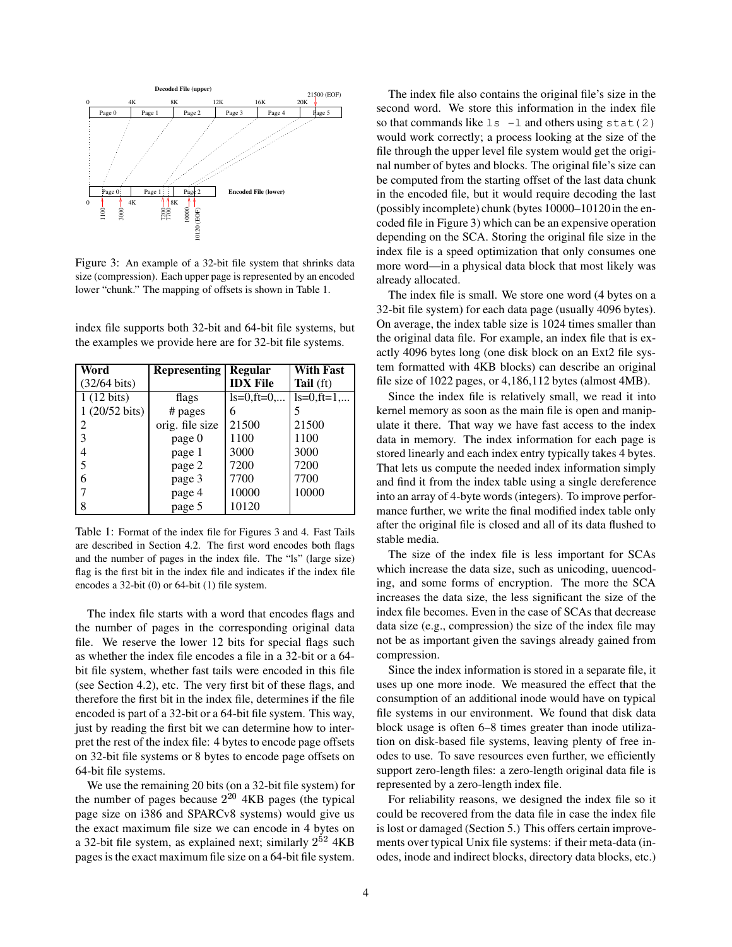

Figure 3: An example of a 32-bit file system that shrinks data size (compression). Each upper page is represented by an encoded lower "chunk." The mapping of offsets is shown in Table 1.

index file supports both 32-bit and 64-bit file systems, but the examples we provide here are for 32-bit file systems.

| Word                   | <b>Representing</b> | <b>Regular</b>  | <b>With Fast</b> |
|------------------------|---------------------|-----------------|------------------|
| $(32/64 \text{ bits})$ |                     | <b>IDX</b> File | Tail (ft)        |
| $1(12 \text{ bits})$   | flags               | $ls=0$ , ft=0,  | $ls=0, ft=1,$    |
| 1 (20/52 bits)         | # pages             | 6               |                  |
| 2                      | orig. file size     | 21500           | 21500            |
| 3                      | page 0              | 1100            | 1100             |
| 4                      | page 1              | 3000            | 3000             |
| 5                      | page 2              | 7200            | 7200             |
| 6                      | page 3              | 7700            | 7700             |
|                        | page 4              | 10000           | 10000            |
| 8                      | page 5              | 10120           |                  |

Table 1: Format of the index file for Figures 3 and 4. Fast Tails are described in Section 4.2. The first word encodes both flags and the number of pages in the index file. The "ls" (large size) flag is the first bit in the index file and indicates if the index file encodes a 32-bit (0) or 64-bit (1) file system.

The index file starts with a word that encodes flags and the number of pages in the corresponding original data file. We reserve the lower 12 bits for special flags such as whether the index file encodes a file in a 32-bit or a 64 bit file system, whether fast tails were encoded in this file (see Section 4.2), etc. The very first bit of these flags, and therefore the first bit in the index file, determines if the file encoded is part of a 32-bit or a 64-bit file system. This way, just by reading the first bit we can determine how to interpret the rest of the index file: 4 bytes to encode page offsets on 32-bit file systems or 8 bytes to encode page offsets on 64-bit file systems.

We use the remaining 20 bits (on a 32-bit file system) for the number of pages because  $2^{20}$  4KB pages (the typical page size on i386 and SPARCv8 systems) would give us the exact maximum file size we can encode in 4 bytes on a 32-bit file system, as explained next; similarly  $2^{52}$  4KB pages is the exact maximum file size on a 64-bit file system.

The index file also contains the original file's size in the second word. We store this information in the index file so that commands like  $\text{ls}$  -l and others using stat(2) would work correctly; a process looking at the size of the file through the upper level file system would get the original number of bytes and blocks. The original file's size can be computed from the starting offset of the last data chunk in the encoded file, but it would require decoding the last (possibly incomplete) chunk (bytes 10000–10120 in the encoded file in Figure 3) which can be an expensive operation depending on the SCA. Storing the original file size in the index file is a speed optimization that only consumes one more word—in a physical data block that most likely was already allocated.

The index file is small. We store one word (4 bytes on a 32-bit file system) for each data page (usually 4096 bytes). On average, the index table size is 1024 times smaller than the original data file. For example, an index file that is exactly 4096 bytes long (one disk block on an Ext2 file system formatted with 4KB blocks) can describe an original file size of 1022 pages, or 4,186,112 bytes (almost 4MB).

Since the index file is relatively small, we read it into kernel memory as soon as the main file is open and manipulate it there. That way we have fast access to the index data in memory. The index information for each page is stored linearly and each index entry typically takes 4 bytes. That lets us compute the needed index information simply and find it from the index table using a single dereference into an array of 4-byte words (integers). To improve performance further, we write the final modified index table only after the original file is closed and all of its data flushed to stable media.

The size of the index file is less important for SCAs which increase the data size, such as unicoding, uuencoding, and some forms of encryption. The more the SCA increases the data size, the less significant the size of the index file becomes. Even in the case of SCAs that decrease data size (e.g., compression) the size of the index file may not be as important given the savings already gained from compression.

Since the index information is stored in a separate file, it uses up one more inode. We measured the effect that the consumption of an additional inode would have on typical file systems in our environment. We found that disk data block usage is often 6–8 times greater than inode utilization on disk-based file systems, leaving plenty of free inodes to use. To save resources even further, we efficiently support zero-length files: a zero-length original data file is represented by a zero-length index file.

For reliability reasons, we designed the index file so it could be recovered from the data file in case the index file is lost or damaged (Section 5.) This offers certain improvements over typical Unix file systems: if their meta-data (inodes, inode and indirect blocks, directory data blocks, etc.)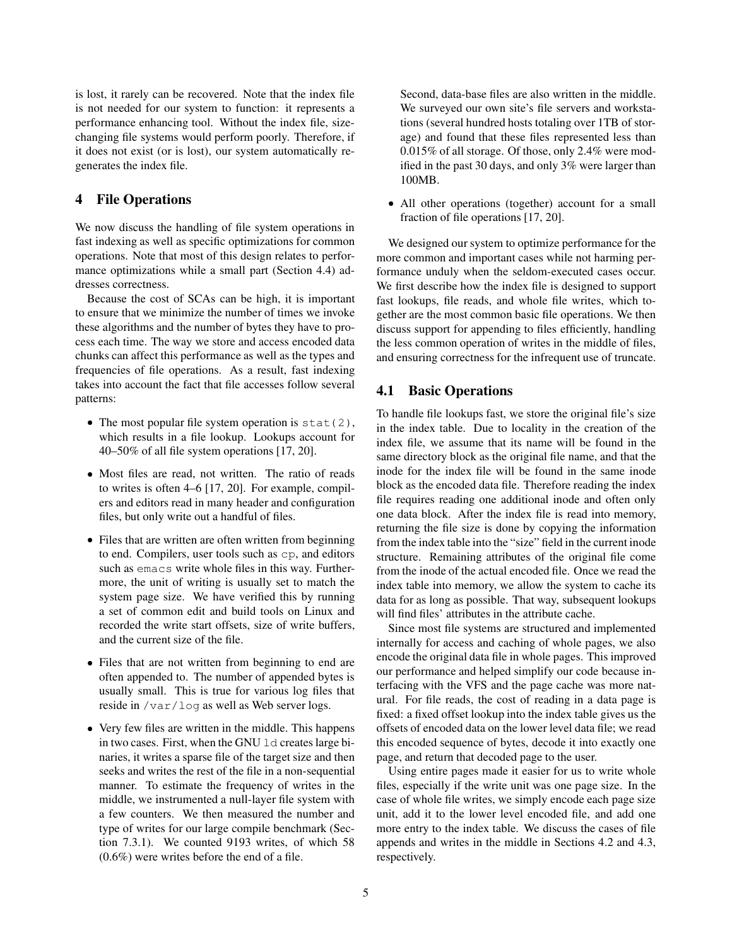is lost, it rarely can be recovered. Note that the index file is not needed for our system to function: it represents a performance enhancing tool. Without the index file, sizechanging file systems would perform poorly. Therefore, if it does not exist (or is lost), our system automatically regenerates the index file.

# **4 File Operations**

We now discuss the handling of file system operations in fast indexing as well as specific optimizations for common operations. Note that most of this design relates to performance optimizations while a small part (Section 4.4) addresses correctness.

Because the cost of SCAs can be high, it is important to ensure that we minimize the number of times we invoke these algorithms and the number of bytes they have to process each time. The way we store and access encoded data chunks can affect this performance as well as the types and frequencies of file operations. As a result, fast indexing takes into account the fact that file accesses follow several patterns:

- The most popular file system operation is  $stat(2)$ , which results in a file lookup. Lookups account for 40–50% of all file system operations [17, 20].
- Most files are read, not written. The ratio of reads to writes is often 4–6 [17, 20]. For example, compilers and editors read in many header and configuration files, but only write out a handful of files.
- Files that are written are often written from beginning to end. Compilers, user tools such as cp, and editors such as emacs write whole files in this way. Furthermore, the unit of writing is usually set to match the system page size. We have verified this by running a set of common edit and build tools on Linux and recorded the write start offsets, size of write buffers, and the current size of the file.
- Files that are not written from beginning to end are often appended to. The number of appended bytes is usually small. This is true for various log files that reside in /var/log as well as Web server logs.
- Very few files are written in the middle. This happens in two cases. First, when the GNU 1d creates large binaries, it writes a sparse file of the target size and then seeks and writes the rest of the file in a non-sequential manner. To estimate the frequency of writes in the middle, we instrumented a null-layer file system with a few counters. We then measured the number and type of writes for our large compile benchmark (Section 7.3.1). We counted 9193 writes, of which 58 (0.6%) were writes before the end of a file.

Second, data-base files are also written in the middle. We surveyed our own site's file servers and workstations (several hundred hosts totaling over 1TB of storage) and found that these files represented less than 0.015% of all storage. Of those, only 2.4% were modified in the past 30 days, and only 3% were larger than 100MB.

 All other operations (together) account for a small fraction of file operations [17, 20].

We designed our system to optimize performance for the more common and important cases while not harming performance unduly when the seldom-executed cases occur. We first describe how the index file is designed to support fast lookups, file reads, and whole file writes, which together are the most common basic file operations. We then discuss support for appending to files efficiently, handling the less common operation of writes in the middle of files, and ensuring correctness for the infrequent use of truncate.

### **4.1 Basic Operations**

To handle file lookups fast, we store the original file's size in the index table. Due to locality in the creation of the index file, we assume that its name will be found in the same directory block as the original file name, and that the inode for the index file will be found in the same inode block as the encoded data file. Therefore reading the index file requires reading one additional inode and often only one data block. After the index file is read into memory, returning the file size is done by copying the information from the index table into the "size" field in the current inode structure. Remaining attributes of the original file come from the inode of the actual encoded file. Once we read the index table into memory, we allow the system to cache its data for as long as possible. That way, subsequent lookups will find files' attributes in the attribute cache.

Since most file systems are structured and implemented internally for access and caching of whole pages, we also encode the original data file in whole pages. This improved our performance and helped simplify our code because interfacing with the VFS and the page cache was more natural. For file reads, the cost of reading in a data page is fixed: a fixed offset lookup into the index table gives us the offsets of encoded data on the lower level data file; we read this encoded sequence of bytes, decode it into exactly one page, and return that decoded page to the user.

Using entire pages made it easier for us to write whole files, especially if the write unit was one page size. In the case of whole file writes, we simply encode each page size unit, add it to the lower level encoded file, and add one more entry to the index table. We discuss the cases of file appends and writes in the middle in Sections 4.2 and 4.3, respectively.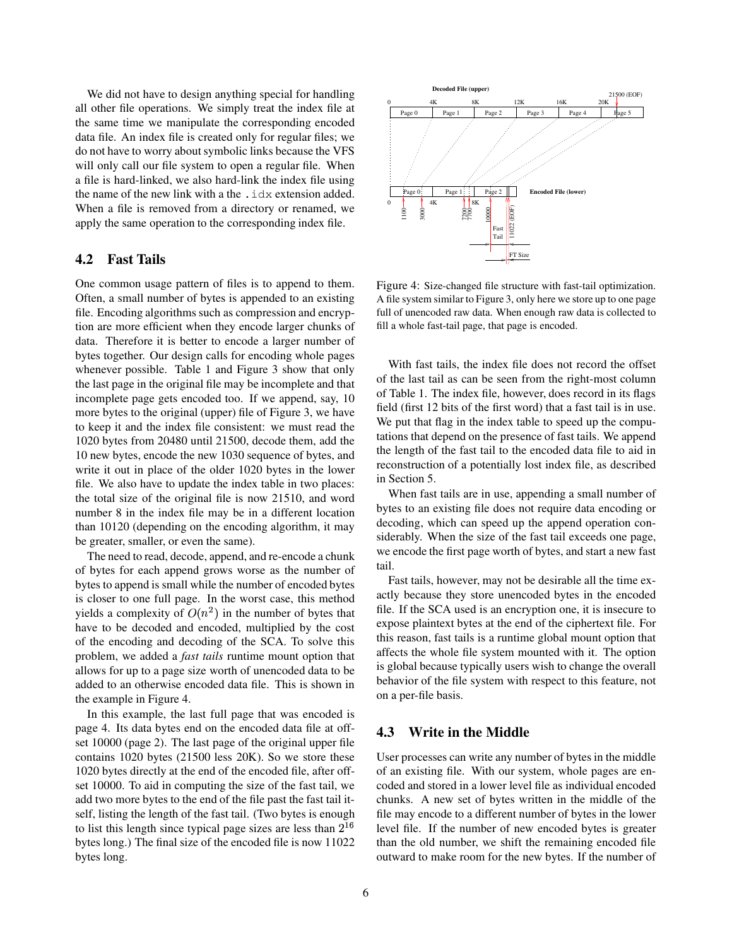We did not have to design anything special for handling all other file operations. We simply treat the index file at the same time we manipulate the corresponding encoded data file. An index file is created only for regular files; we do not have to worry about symbolic links because the VFS will only call our file system to open a regular file. When a file is hard-linked, we also hard-link the index file using the name of the new link with a the .idx extension added. When a file is removed from a directory or renamed, we apply the same operation to the corresponding index file.

### **4.2 Fast Tails**

One common usage pattern of files is to append to them. Often, a small number of bytes is appended to an existing file. Encoding algorithms such as compression and encryption are more efficient when they encode larger chunks of data. Therefore it is better to encode a larger number of bytes together. Our design calls for encoding whole pages whenever possible. Table 1 and Figure 3 show that only the last page in the original file may be incomplete and that incomplete page gets encoded too. If we append, say, 10 more bytes to the original (upper) file of Figure 3, we have to keep it and the index file consistent: we must read the 1020 bytes from 20480 until 21500, decode them, add the 10 new bytes, encode the new 1030 sequence of bytes, and write it out in place of the older 1020 bytes in the lower file. We also have to update the index table in two places: the total size of the original file is now 21510, and word number 8 in the index file may be in a different location than 10120 (depending on the encoding algorithm, it may be greater, smaller, or even the same).

The need to read, decode, append, and re-encode a chunk of bytes for each append grows worse as the number of bytes to append is small while the number of encoded bytes is closer to one full page. In the worst case, this method yields a complexity of  $O(n^2)$  in the number of bytes that have to be decoded and encoded, multiplied by the cost of the encoding and decoding of the SCA. To solve this problem, we added a *fast tails* runtime mount option that allows for up to a page size worth of unencoded data to be added to an otherwise encoded data file. This is shown in the example in Figure 4.

In this example, the last full page that was encoded is page 4. Its data bytes end on the encoded data file at offset 10000 (page 2). The last page of the original upper file contains 1020 bytes (21500 less 20K). So we store these 1020 bytes directly at the end of the encoded file, after offset 10000. To aid in computing the size of the fast tail, we add two more bytes to the end of the file past the fast tail itself, listing the length of the fast tail. (Two bytes is enough to list this length since typical page sizes are less than  $2^{16}$ bytes long.) The final size of the encoded file is now 11022 bytes long.



Figure 4: Size-changed file structure with fast-tail optimization. A file system similar to Figure 3, only here we store up to one page full of unencoded raw data. When enough raw data is collected to fill a whole fast-tail page, that page is encoded.

With fast tails, the index file does not record the offset of the last tail as can be seen from the right-most column of Table 1. The index file, however, does record in its flags field (first 12 bits of the first word) that a fast tail is in use. We put that flag in the index table to speed up the computations that depend on the presence of fast tails. We append the length of the fast tail to the encoded data file to aid in reconstruction of a potentially lost index file, as described in Section 5.

When fast tails are in use, appending a small number of bytes to an existing file does not require data encoding or decoding, which can speed up the append operation considerably. When the size of the fast tail exceeds one page, we encode the first page worth of bytes, and start a new fast tail.

Fast tails, however, may not be desirable all the time exactly because they store unencoded bytes in the encoded file. If the SCA used is an encryption one, it is insecure to expose plaintext bytes at the end of the ciphertext file. For this reason, fast tails is a runtime global mount option that affects the whole file system mounted with it. The option is global because typically users wish to change the overall behavior of the file system with respect to this feature, not on a per-file basis.

### **4.3 Write in the Middle**

User processes can write any number of bytes in the middle of an existing file. With our system, whole pages are encoded and stored in a lower level file as individual encoded chunks. A new set of bytes written in the middle of the file may encode to a different number of bytes in the lower level file. If the number of new encoded bytes is greater than the old number, we shift the remaining encoded file outward to make room for the new bytes. If the number of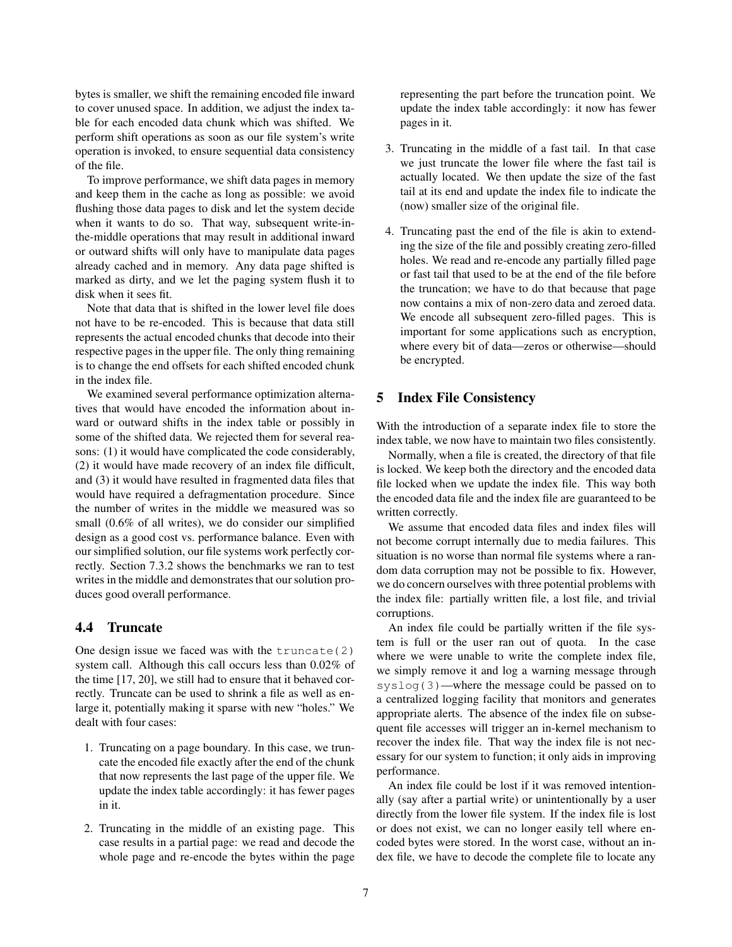bytes is smaller, we shift the remaining encoded file inward to cover unused space. In addition, we adjust the index table for each encoded data chunk which was shifted. We perform shift operations as soon as our file system's write operation is invoked, to ensure sequential data consistency of the file.

To improve performance, we shift data pages in memory and keep them in the cache as long as possible: we avoid flushing those data pages to disk and let the system decide when it wants to do so. That way, subsequent write-inthe-middle operations that may result in additional inward or outward shifts will only have to manipulate data pages already cached and in memory. Any data page shifted is marked as dirty, and we let the paging system flush it to disk when it sees fit.

Note that data that is shifted in the lower level file does not have to be re-encoded. This is because that data still represents the actual encoded chunks that decode into their respective pages in the upper file. The only thing remaining is to change the end offsets for each shifted encoded chunk in the index file.

We examined several performance optimization alternatives that would have encoded the information about inward or outward shifts in the index table or possibly in some of the shifted data. We rejected them for several reasons: (1) it would have complicated the code considerably, (2) it would have made recovery of an index file difficult, and (3) it would have resulted in fragmented data files that would have required a defragmentation procedure. Since the number of writes in the middle we measured was so small (0.6% of all writes), we do consider our simplified design as a good cost vs. performance balance. Even with our simplified solution, our file systems work perfectly correctly. Section 7.3.2 shows the benchmarks we ran to test writes in the middle and demonstrates that our solution produces good overall performance.

### **4.4 Truncate**

One design issue we faced was with the  $truncated(2)$ system call. Although this call occurs less than 0.02% of the time [17, 20], we still had to ensure that it behaved correctly. Truncate can be used to shrink a file as well as enlarge it, potentially making it sparse with new "holes." We dealt with four cases:

- 1. Truncating on a page boundary. In this case, we truncate the encoded file exactly after the end of the chunk that now represents the last page of the upper file. We update the index table accordingly: it has fewer pages in it.
- 2. Truncating in the middle of an existing page. This case results in a partial page: we read and decode the whole page and re-encode the bytes within the page

representing the part before the truncation point. We update the index table accordingly: it now has fewer pages in it.

- 3. Truncating in the middle of a fast tail. In that case we just truncate the lower file where the fast tail is actually located. We then update the size of the fast tail at its end and update the index file to indicate the (now) smaller size of the original file.
- 4. Truncating past the end of the file is akin to extending the size of the file and possibly creating zero-filled holes. We read and re-encode any partially filled page or fast tail that used to be at the end of the file before the truncation; we have to do that because that page now contains a mix of non-zero data and zeroed data. We encode all subsequent zero-filled pages. This is important for some applications such as encryption, where every bit of data—zeros or otherwise—should be encrypted.

### **5 Index File Consistency**

With the introduction of a separate index file to store the index table, we now have to maintain two files consistently.

Normally, when a file is created, the directory of that file is locked. We keep both the directory and the encoded data file locked when we update the index file. This way both the encoded data file and the index file are guaranteed to be written correctly.

We assume that encoded data files and index files will not become corrupt internally due to media failures. This situation is no worse than normal file systems where a random data corruption may not be possible to fix. However, we do concern ourselves with three potential problems with the index file: partially written file, a lost file, and trivial corruptions.

An index file could be partially written if the file system is full or the user ran out of quota. In the case where we were unable to write the complete index file, we simply remove it and log a warning message through syslog(3)—where the message could be passed on to a centralized logging facility that monitors and generates appropriate alerts. The absence of the index file on subsequent file accesses will trigger an in-kernel mechanism to recover the index file. That way the index file is not necessary for our system to function; it only aids in improving performance.

An index file could be lost if it was removed intentionally (say after a partial write) or unintentionally by a user directly from the lower file system. If the index file is lost or does not exist, we can no longer easily tell where encoded bytes were stored. In the worst case, without an index file, we have to decode the complete file to locate any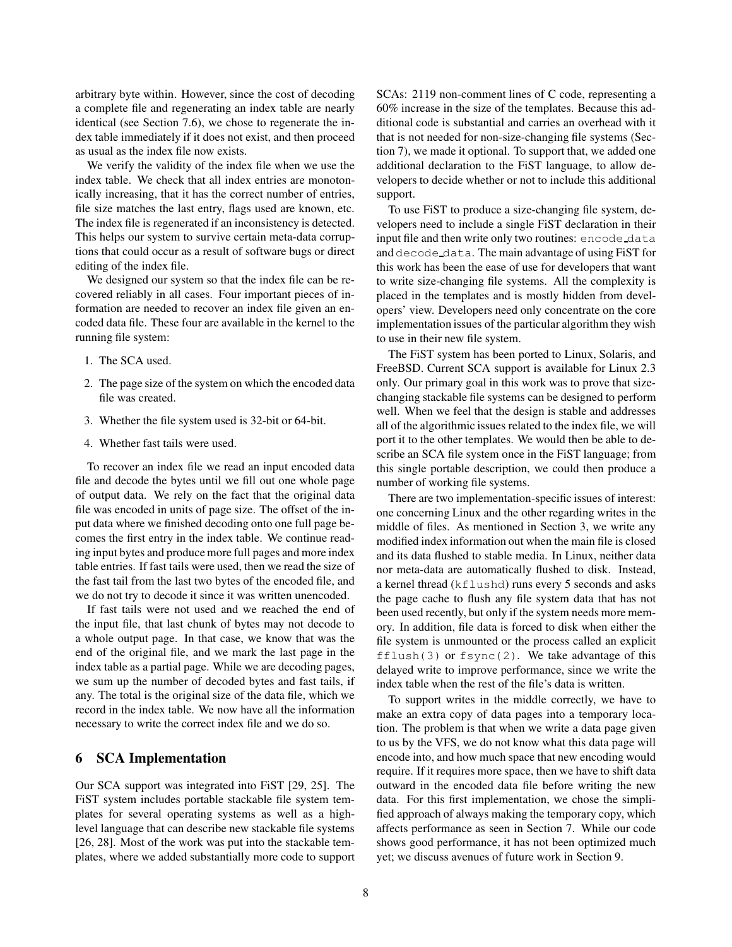arbitrary byte within. However, since the cost of decoding a complete file and regenerating an index table are nearly identical (see Section 7.6), we chose to regenerate the index table immediately if it does not exist, and then proceed as usual as the index file now exists.

We verify the validity of the index file when we use the index table. We check that all index entries are monotonically increasing, that it has the correct number of entries, file size matches the last entry, flags used are known, etc. The index file is regenerated if an inconsistency is detected. This helps our system to survive certain meta-data corruptions that could occur as a result of software bugs or direct editing of the index file.

We designed our system so that the index file can be recovered reliably in all cases. Four important pieces of information are needed to recover an index file given an encoded data file. These four are available in the kernel to the running file system:

- 1. The SCA used.
- 2. The page size of the system on which the encoded data file was created.
- 3. Whether the file system used is 32-bit or 64-bit.
- 4. Whether fast tails were used.

To recover an index file we read an input encoded data file and decode the bytes until we fill out one whole page of output data. We rely on the fact that the original data file was encoded in units of page size. The offset of the input data where we finished decoding onto one full page becomes the first entry in the index table. We continue reading input bytes and produce more full pages and more index table entries. If fast tails were used, then we read the size of the fast tail from the last two bytes of the encoded file, and we do not try to decode it since it was written unencoded.

If fast tails were not used and we reached the end of the input file, that last chunk of bytes may not decode to a whole output page. In that case, we know that was the end of the original file, and we mark the last page in the index table as a partial page. While we are decoding pages, we sum up the number of decoded bytes and fast tails, if any. The total is the original size of the data file, which we record in the index table. We now have all the information necessary to write the correct index file and we do so.

### **6 SCA Implementation**

Our SCA support was integrated into FiST [29, 25]. The FiST system includes portable stackable file system templates for several operating systems as well as a highlevel language that can describe new stackable file systems [26, 28]. Most of the work was put into the stackable templates, where we added substantially more code to support SCAs: 2119 non-comment lines of C code, representing a 60% increase in the size of the templates. Because this additional code is substantial and carries an overhead with it that is not needed for non-size-changing file systems (Section 7), we made it optional. To support that, we added one additional declaration to the FiST language, to allow developers to decide whether or not to include this additional support.

To use FiST to produce a size-changing file system, developers need to include a single FiST declaration in their input file and then write only two routines: encode data and decode data. The main advantage of using FiST for this work has been the ease of use for developers that want to write size-changing file systems. All the complexity is placed in the templates and is mostly hidden from developers' view. Developers need only concentrate on the core implementation issues of the particular algorithm they wish to use in their new file system.

The FiST system has been ported to Linux, Solaris, and FreeBSD. Current SCA support is available for Linux 2.3 only. Our primary goal in this work was to prove that sizechanging stackable file systems can be designed to perform well. When we feel that the design is stable and addresses all of the algorithmic issues related to the index file, we will port it to the other templates. We would then be able to describe an SCA file system once in the FiST language; from this single portable description, we could then produce a number of working file systems.

There are two implementation-specific issues of interest: one concerning Linux and the other regarding writes in the middle of files. As mentioned in Section 3, we write any modified index information out when the main file is closed and its data flushed to stable media. In Linux, neither data nor meta-data are automatically flushed to disk. Instead, a kernel thread (kflushd) runs every 5 seconds and asks the page cache to flush any file system data that has not been used recently, but only if the system needs more memory. In addition, file data is forced to disk when either the file system is unmounted or the process called an explicit fflush(3) or  $f$ sync(2). We take advantage of this delayed write to improve performance, since we write the index table when the rest of the file's data is written.

To support writes in the middle correctly, we have to make an extra copy of data pages into a temporary location. The problem is that when we write a data page given to us by the VFS, we do not know what this data page will encode into, and how much space that new encoding would require. If it requires more space, then we have to shift data outward in the encoded data file before writing the new data. For this first implementation, we chose the simplified approach of always making the temporary copy, which affects performance as seen in Section 7. While our code shows good performance, it has not been optimized much yet; we discuss avenues of future work in Section 9.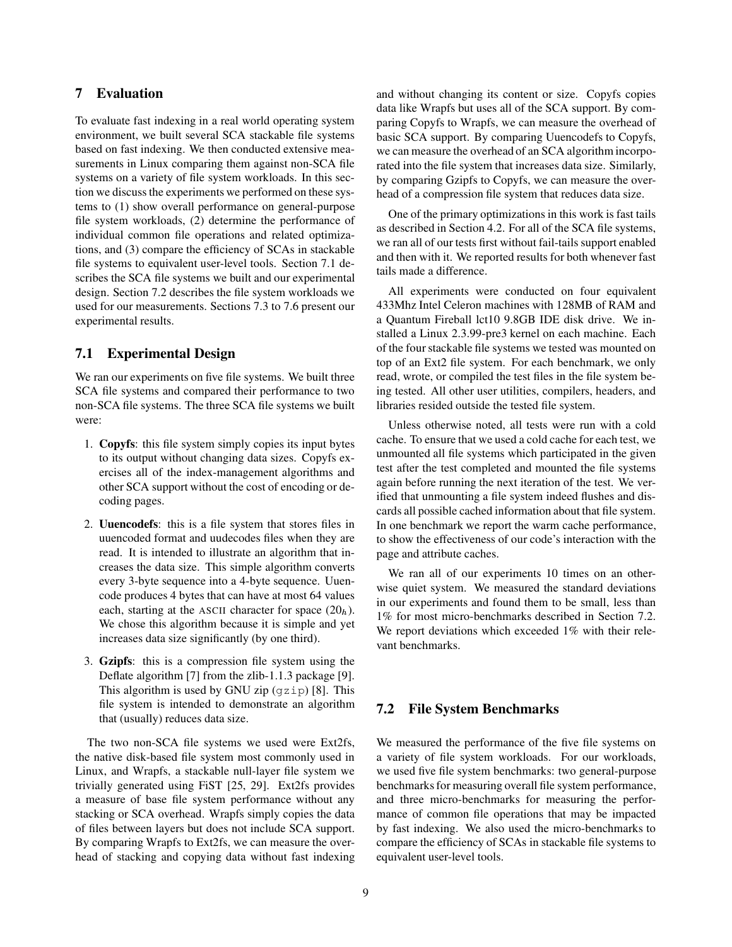# **7 Evaluation**

To evaluate fast indexing in a real world operating system environment, we built several SCA stackable file systems based on fast indexing. We then conducted extensive measurements in Linux comparing them against non-SCA file systems on a variety of file system workloads. In this section we discuss the experiments we performed on these systems to (1) show overall performance on general-purpose file system workloads, (2) determine the performance of individual common file operations and related optimizations, and (3) compare the efficiency of SCAs in stackable file systems to equivalent user-level tools. Section 7.1 describes the SCA file systems we built and our experimental design. Section 7.2 describes the file system workloads we used for our measurements. Sections 7.3 to 7.6 present our experimental results.

# **7.1 Experimental Design**

We ran our experiments on five file systems. We built three SCA file systems and compared their performance to two non-SCA file systems. The three SCA file systems we built were:

- 1. **Copyfs**: this file system simply copies its input bytes to its output without changing data sizes. Copyfs exercises all of the index-management algorithms and other SCA support without the cost of encoding or decoding pages.
- 2. **Uuencodefs**: this is a file system that stores files in uuencoded format and uudecodes files when they are read. It is intended to illustrate an algorithm that increases the data size. This simple algorithm converts every 3-byte sequence into a 4-byte sequence. Uuencode produces 4 bytes that can have at most 64 values each, starting at the ASCII character for space  $(20<sub>h</sub>)$ . We chose this algorithm because it is simple and yet increases data size significantly (by one third).
- 3. **Gzipfs**: this is a compression file system using the Deflate algorithm [7] from the zlib-1.1.3 package [9]. This algorithm is used by GNU zip  $(gzip)$  [8]. This file system is intended to demonstrate an algorithm that (usually) reduces data size.

The two non-SCA file systems we used were Ext2fs, the native disk-based file system most commonly used in Linux, and Wrapfs, a stackable null-layer file system we trivially generated using FiST [25, 29]. Ext2fs provides a measure of base file system performance without any stacking or SCA overhead. Wrapfs simply copies the data of files between layers but does not include SCA support. By comparing Wrapfs to Ext2fs, we can measure the overhead of stacking and copying data without fast indexing and without changing its content or size. Copyfs copies data like Wrapfs but uses all of the SCA support. By comparing Copyfs to Wrapfs, we can measure the overhead of basic SCA support. By comparing Uuencodefs to Copyfs, we can measure the overhead of an SCA algorithm incorporated into the file system that increases data size. Similarly, by comparing Gzipfs to Copyfs, we can measure the overhead of a compression file system that reduces data size.

One of the primary optimizations in this work is fast tails as described in Section 4.2. For all of the SCA file systems, we ran all of our tests first without fail-tails support enabled and then with it. We reported results for both whenever fast tails made a difference.

All experiments were conducted on four equivalent 433Mhz Intel Celeron machines with 128MB of RAM and a Quantum Fireball lct10 9.8GB IDE disk drive. We installed a Linux 2.3.99-pre3 kernel on each machine. Each of the four stackable file systems we tested was mounted on top of an Ext2 file system. For each benchmark, we only read, wrote, or compiled the test files in the file system being tested. All other user utilities, compilers, headers, and libraries resided outside the tested file system.

Unless otherwise noted, all tests were run with a cold cache. To ensure that we used a cold cache for each test, we unmounted all file systems which participated in the given test after the test completed and mounted the file systems again before running the next iteration of the test. We verified that unmounting a file system indeed flushes and discards all possible cached information about that file system. In one benchmark we report the warm cache performance, to show the effectiveness of our code's interaction with the page and attribute caches.

We ran all of our experiments 10 times on an otherwise quiet system. We measured the standard deviations in our experiments and found them to be small, less than 1% for most micro-benchmarks described in Section 7.2. We report deviations which exceeded 1% with their relevant benchmarks.

# **7.2 File System Benchmarks**

We measured the performance of the five file systems on a variety of file system workloads. For our workloads, we used five file system benchmarks: two general-purpose benchmarks for measuring overall file system performance, and three micro-benchmarks for measuring the performance of common file operations that may be impacted by fast indexing. We also used the micro-benchmarks to compare the efficiency of SCAs in stackable file systems to equivalent user-level tools.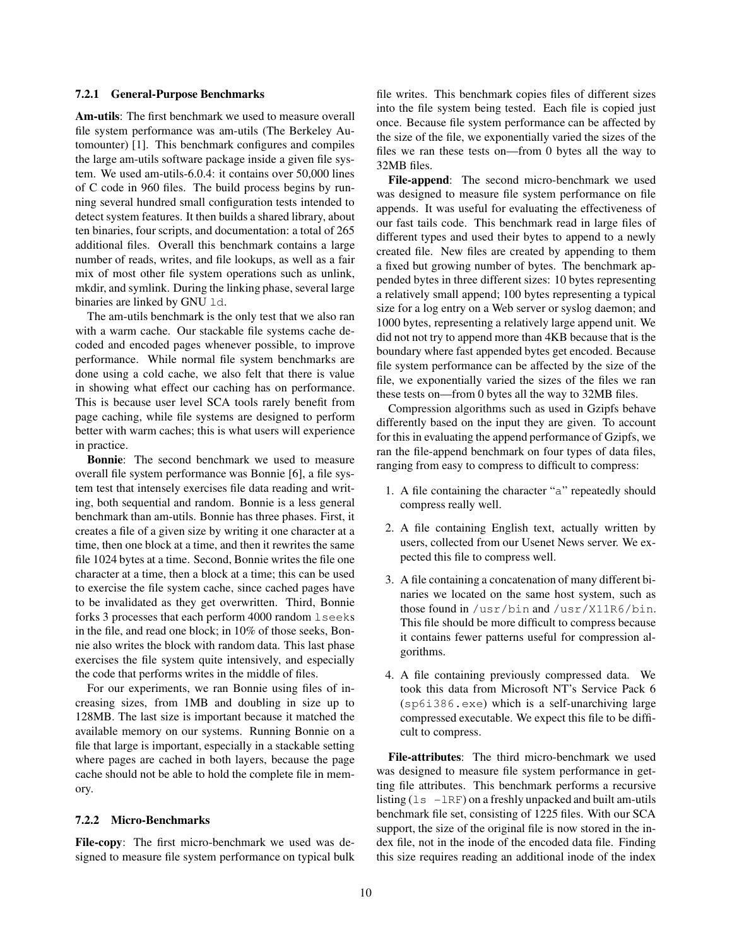#### **7.2.1 General-Purpose Benchmarks**

**Am-utils**: The first benchmark we used to measure overall file system performance was am-utils (The Berkeley Automounter) [1]. This benchmark configures and compiles the large am-utils software package inside a given file system. We used am-utils-6.0.4: it contains over 50,000 lines of C code in 960 files. The build process begins by running several hundred small configuration tests intended to detect system features. It then builds a shared library, about ten binaries, four scripts, and documentation: a total of 265 additional files. Overall this benchmark contains a large number of reads, writes, and file lookups, as well as a fair mix of most other file system operations such as unlink, mkdir, and symlink. During the linking phase, several large binaries are linked by GNU 1d.

The am-utils benchmark is the only test that we also ran with a warm cache. Our stackable file systems cache decoded and encoded pages whenever possible, to improve performance. While normal file system benchmarks are done using a cold cache, we also felt that there is value in showing what effect our caching has on performance. This is because user level SCA tools rarely benefit from page caching, while file systems are designed to perform better with warm caches; this is what users will experience in practice.

**Bonnie**: The second benchmark we used to measure overall file system performance was Bonnie [6], a file system test that intensely exercises file data reading and writing, both sequential and random. Bonnie is a less general benchmark than am-utils. Bonnie has three phases. First, it creates a file of a given size by writing it one character at a time, then one block at a time, and then it rewrites the same file 1024 bytes at a time. Second, Bonnie writes the file one character at a time, then a block at a time; this can be used to exercise the file system cache, since cached pages have to be invalidated as they get overwritten. Third, Bonnie forks 3 processes that each perform 4000 random lseeks in the file, and read one block; in 10% of those seeks, Bonnie also writes the block with random data. This last phase exercises the file system quite intensively, and especially the code that performs writes in the middle of files.

For our experiments, we ran Bonnie using files of increasing sizes, from 1MB and doubling in size up to 128MB. The last size is important because it matched the available memory on our systems. Running Bonnie on a file that large is important, especially in a stackable setting where pages are cached in both layers, because the page cache should not be able to hold the complete file in memory.

#### **7.2.2 Micro-Benchmarks**

**File-copy**: The first micro-benchmark we used was designed to measure file system performance on typical bulk file writes. This benchmark copies files of different sizes into the file system being tested. Each file is copied just once. Because file system performance can be affected by the size of the file, we exponentially varied the sizes of the files we ran these tests on—from 0 bytes all the way to 32MB files.

**File-append**: The second micro-benchmark we used was designed to measure file system performance on file appends. It was useful for evaluating the effectiveness of our fast tails code. This benchmark read in large files of different types and used their bytes to append to a newly created file. New files are created by appending to them a fixed but growing number of bytes. The benchmark appended bytes in three different sizes: 10 bytes representing a relatively small append; 100 bytes representing a typical size for a log entry on a Web server or syslog daemon; and 1000 bytes, representing a relatively large append unit. We did not not try to append more than 4KB because that is the boundary where fast appended bytes get encoded. Because file system performance can be affected by the size of the file, we exponentially varied the sizes of the files we ran these tests on—from 0 bytes all the way to 32MB files.

Compression algorithms such as used in Gzipfs behave differently based on the input they are given. To account for this in evaluating the append performance of Gzipfs, we ran the file-append benchmark on four types of data files, ranging from easy to compress to difficult to compress:

- 1. A file containing the character "a" repeatedly should compress really well.
- 2. A file containing English text, actually written by users, collected from our Usenet News server. We expected this file to compress well.
- 3. A file containing a concatenation of many different binaries we located on the same host system, such as those found in /usr/bin and /usr/X11R6/bin. This file should be more difficult to compress because it contains fewer patterns useful for compression algorithms.
- 4. A file containing previously compressed data. We took this data from Microsoft NT's Service Pack 6 (sp6i386.exe) which is a self-unarchiving large compressed executable. We expect this file to be difficult to compress.

**File-attributes**: The third micro-benchmark we used was designed to measure file system performance in getting file attributes. This benchmark performs a recursive listing  $(1s -lRF)$  on a freshly unpacked and built am-utils benchmark file set, consisting of 1225 files. With our SCA support, the size of the original file is now stored in the index file, not in the inode of the encoded data file. Finding this size requires reading an additional inode of the index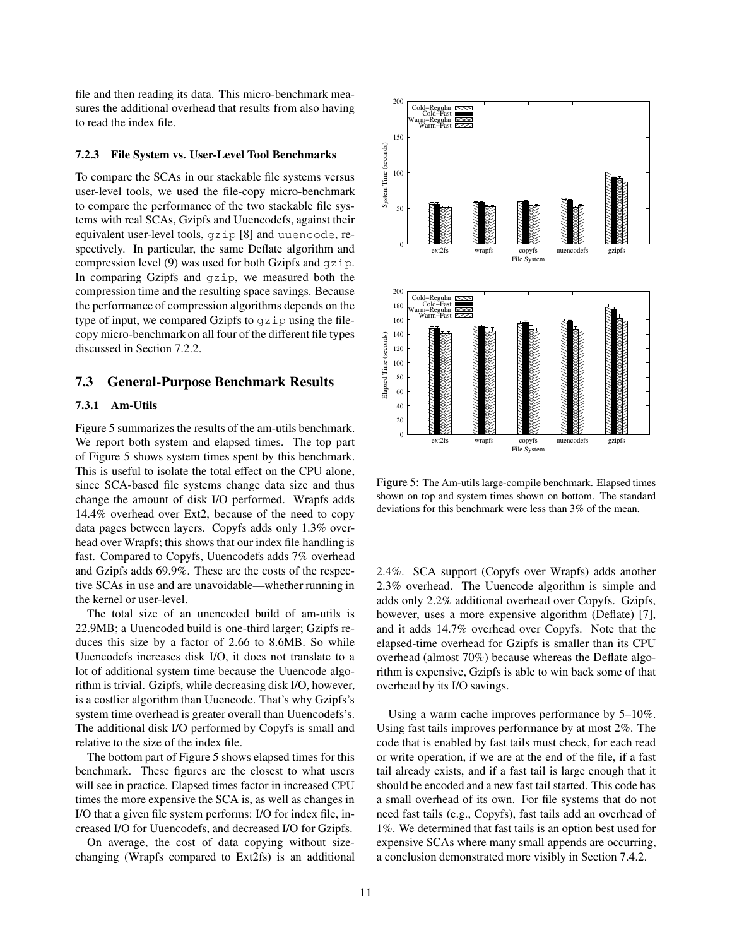file and then reading its data. This micro-benchmark measures the additional overhead that results from also having to read the index file.

#### **7.2.3 File System vs. User-Level Tool Benchmarks**

To compare the SCAs in our stackable file systems versus user-level tools, we used the file-copy micro-benchmark to compare the performance of the two stackable file systems with real SCAs, Gzipfs and Uuencodefs, against their equivalent user-level tools, gzip [8] and uuencode, respectively. In particular, the same Deflate algorithm and compression level (9) was used for both Gzipfs and gzip. In comparing Gzipfs and gzip, we measured both the compression time and the resulting space savings. Because the performance of compression algorithms depends on the type of input, we compared Gzipfs to gzip using the filecopy micro-benchmark on all four of the different file types discussed in Section 7.2.2.

# **7.3 General-Purpose Benchmark Results**

### **7.3.1 Am-Utils**

Figure 5 summarizes the results of the am-utils benchmark. We report both system and elapsed times. The top part of Figure 5 shows system times spent by this benchmark. This is useful to isolate the total effect on the CPU alone, since SCA-based file systems change data size and thus change the amount of disk I/O performed. Wrapfs adds 14.4% overhead over Ext2, because of the need to copy data pages between layers. Copyfs adds only 1.3% overhead over Wrapfs; this shows that our index file handling is fast. Compared to Copyfs, Uuencodefs adds 7% overhead and Gzipfs adds 69.9%. These are the costs of the respective SCAs in use and are unavoidable—whether running in the kernel or user-level.

The total size of an unencoded build of am-utils is 22.9MB; a Uuencoded build is one-third larger; Gzipfs reduces this size by a factor of 2.66 to 8.6MB. So while Uuencodefs increases disk I/O, it does not translate to a lot of additional system time because the Uuencode algorithm is trivial. Gzipfs, while decreasing disk I/O, however, is a costlier algorithm than Uuencode. That's why Gzipfs's system time overhead is greater overall than Uuencodefs's. The additional disk I/O performed by Copyfs is small and relative to the size of the index file.

The bottom part of Figure 5 shows elapsed times for this benchmark. These figures are the closest to what users will see in practice. Elapsed times factor in increased CPU times the more expensive the SCA is, as well as changes in I/O that a given file system performs: I/O for index file, increased I/O for Uuencodefs, and decreased I/O for Gzipfs.

On average, the cost of data copying without sizechanging (Wrapfs compared to Ext2fs) is an additional



Figure 5: The Am-utils large-compile benchmark. Elapsed times shown on top and system times shown on bottom. The standard deviations for this benchmark were less than 3% of the mean.

2.4%. SCA support (Copyfs over Wrapfs) adds another 2.3% overhead. The Uuencode algorithm is simple and adds only 2.2% additional overhead over Copyfs. Gzipfs, however, uses a more expensive algorithm (Deflate) [7], and it adds 14.7% overhead over Copyfs. Note that the elapsed-time overhead for Gzipfs is smaller than its CPU overhead (almost 70%) because whereas the Deflate algorithm is expensive, Gzipfs is able to win back some of that overhead by its I/O savings.

Using a warm cache improves performance by 5–10%. Using fast tails improves performance by at most 2%. The code that is enabled by fast tails must check, for each read or write operation, if we are at the end of the file, if a fast tail already exists, and if a fast tail is large enough that it should be encoded and a new fast tail started. This code has a small overhead of its own. For file systems that do not need fast tails (e.g., Copyfs), fast tails add an overhead of 1%. We determined that fast tails is an option best used for expensive SCAs where many small appends are occurring, a conclusion demonstrated more visibly in Section 7.4.2.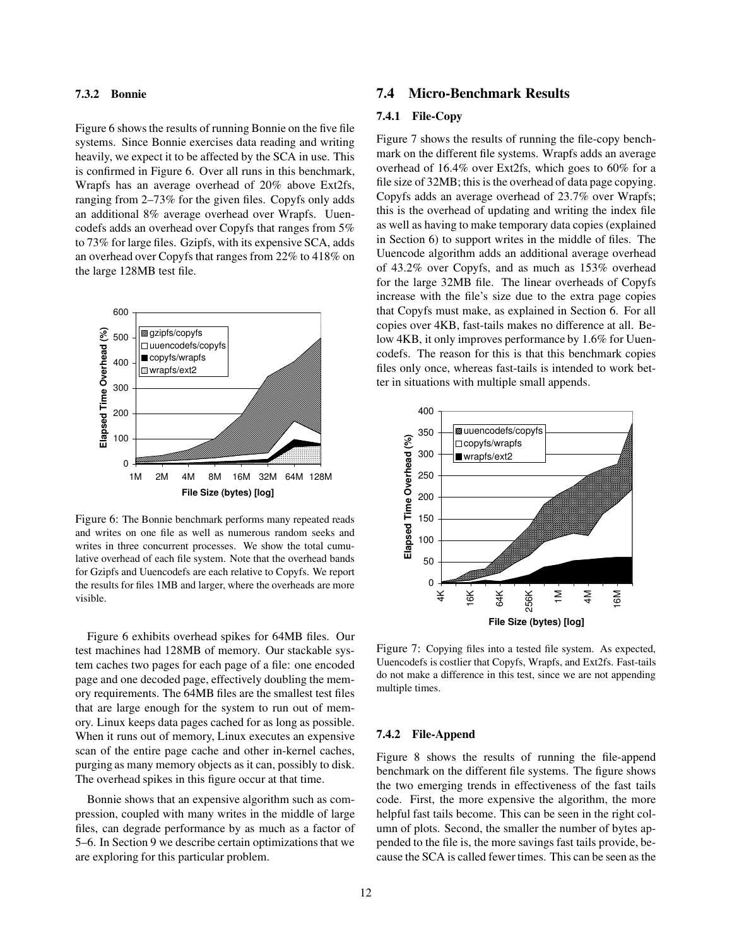### **7.3.2 Bonnie**

Figure 6 shows the results of running Bonnie on the five file systems. Since Bonnie exercises data reading and writing heavily, we expect it to be affected by the SCA in use. This is confirmed in Figure 6. Over all runs in this benchmark, Wrapfs has an average overhead of 20% above Ext2fs, ranging from 2–73% for the given files. Copyfs only adds an additional 8% average overhead over Wrapfs. Uuencodefs adds an overhead over Copyfs that ranges from 5% to 73% for large files. Gzipfs, with its expensive SCA, adds an overhead over Copyfs that ranges from 22% to 418% on the large 128MB test file.



Figure 6: The Bonnie benchmark performs many repeated reads and writes on one file as well as numerous random seeks and writes in three concurrent processes. We show the total cumulative overhead of each file system. Note that the overhead bands for Gzipfs and Uuencodefs are each relative to Copyfs. We report the results for files 1MB and larger, where the overheads are more visible.

Figure 6 exhibits overhead spikes for 64MB files. Our test machines had 128MB of memory. Our stackable system caches two pages for each page of a file: one encoded page and one decoded page, effectively doubling the memory requirements. The 64MB files are the smallest test files that are large enough for the system to run out of memory. Linux keeps data pages cached for as long as possible. When it runs out of memory, Linux executes an expensive scan of the entire page cache and other in-kernel caches, purging as many memory objects as it can, possibly to disk. The overhead spikes in this figure occur at that time.

Bonnie shows that an expensive algorithm such as compression, coupled with many writes in the middle of large files, can degrade performance by as much as a factor of 5–6. In Section 9 we describe certain optimizations that we are exploring for this particular problem.

# **7.4 Micro-Benchmark Results**

### **7.4.1 File-Copy**

Figure 7 shows the results of running the file-copy benchmark on the different file systems. Wrapfs adds an average overhead of 16.4% over Ext2fs, which goes to 60% for a file size of 32MB; this is the overhead of data page copying. Copyfs adds an average overhead of 23.7% over Wrapfs; this is the overhead of updating and writing the index file as well as having to make temporary data copies (explained in Section 6) to support writes in the middle of files. The Uuencode algorithm adds an additional average overhead of 43.2% over Copyfs, and as much as 153% overhead for the large 32MB file. The linear overheads of Copyfs increase with the file's size due to the extra page copies that Copyfs must make, as explained in Section 6. For all copies over 4KB, fast-tails makes no difference at all. Below 4KB, it only improves performance by 1.6% for Uuencodefs. The reason for this is that this benchmark copies files only once, whereas fast-tails is intended to work better in situations with multiple small appends.



Figure 7: Copying files into a tested file system. As expected, Uuencodefs is costlier that Copyfs, Wrapfs, and Ext2fs. Fast-tails do not make a difference in this test, since we are not appending multiple times.

#### **7.4.2 File-Append**

Figure 8 shows the results of running the file-append benchmark on the different file systems. The figure shows the two emerging trends in effectiveness of the fast tails code. First, the more expensive the algorithm, the more helpful fast tails become. This can be seen in the right column of plots. Second, the smaller the number of bytes appended to the file is, the more savings fast tails provide, because the SCA is called fewer times. This can be seen as the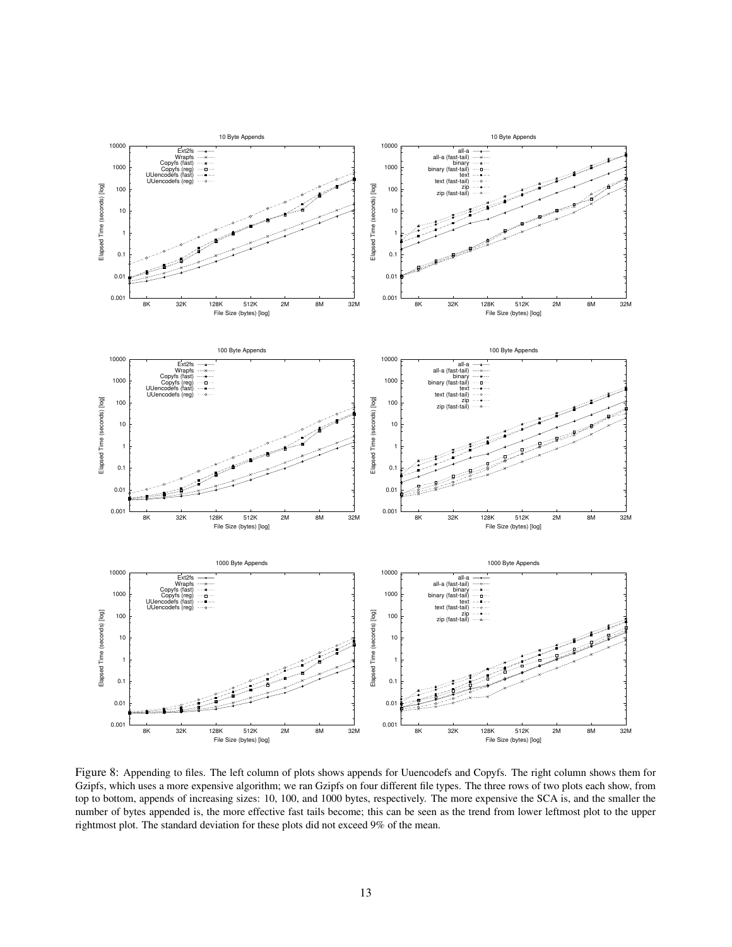

Figure 8: Appending to files. The left column of plots shows appends for Uuencodefs and Copyfs. The right column shows them for Gzipfs, which uses a more expensive algorithm; we ran Gzipfs on four different file types. The three rows of two plots each show, from top to bottom, appends of increasing sizes: 10, 100, and 1000 bytes, respectively. The more expensive the SCA is, and the smaller the number of bytes appended is, the more effective fast tails become; this can be seen as the trend from lower leftmost plot to the upper rightmost plot. The standard deviation for these plots did not exceed 9% of the mean.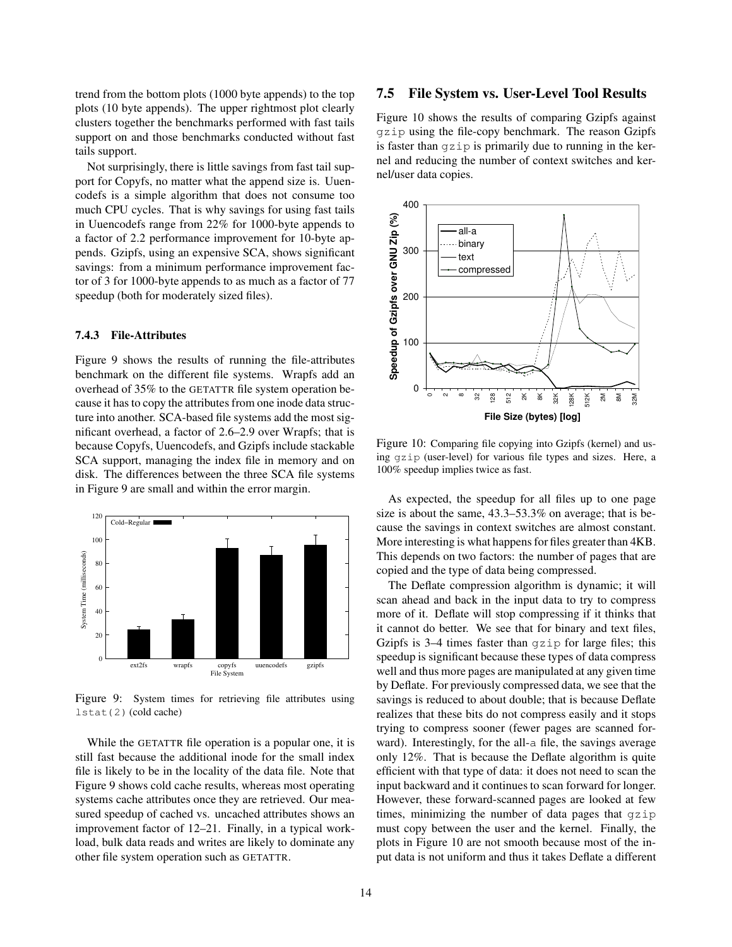trend from the bottom plots (1000 byte appends) to the top plots (10 byte appends). The upper rightmost plot clearly clusters together the benchmarks performed with fast tails support on and those benchmarks conducted without fast tails support.

Not surprisingly, there is little savings from fast tail support for Copyfs, no matter what the append size is. Uuencodefs is a simple algorithm that does not consume too much CPU cycles. That is why savings for using fast tails in Uuencodefs range from 22% for 1000-byte appends to a factor of 2.2 performance improvement for 10-byte appends. Gzipfs, using an expensive SCA, shows significant savings: from a minimum performance improvement factor of 3 for 1000-byte appends to as much as a factor of 77 speedup (both for moderately sized files).

### **7.4.3 File-Attributes**

Figure 9 shows the results of running the file-attributes benchmark on the different file systems. Wrapfs add an overhead of 35% to the GETATTR file system operation because it has to copy the attributes from one inode data structure into another. SCA-based file systems add the most significant overhead, a factor of 2.6–2.9 over Wrapfs; that is because Copyfs, Uuencodefs, and Gzipfs include stackable SCA support, managing the index file in memory and on disk. The differences between the three SCA file systems in Figure 9 are small and within the error margin.



Figure 9: System times for retrieving file attributes using lstat(2) (cold cache)

While the GETATTR file operation is a popular one, it is still fast because the additional inode for the small index file is likely to be in the locality of the data file. Note that Figure 9 shows cold cache results, whereas most operating systems cache attributes once they are retrieved. Our measured speedup of cached vs. uncached attributes shows an improvement factor of 12–21. Finally, in a typical workload, bulk data reads and writes are likely to dominate any other file system operation such as GETATTR.

# **7.5 File System vs. User-Level Tool Results**

Figure 10 shows the results of comparing Gzipfs against gzip using the file-copy benchmark. The reason Gzipfs is faster than  $qzip$  is primarily due to running in the kernel and reducing the number of context switches and kernel/user data copies.



Figure 10: Comparing file copying into Gzipfs (kernel) and using gzip (user-level) for various file types and sizes. Here, a 100% speedup implies twice as fast.

As expected, the speedup for all files up to one page size is about the same, 43.3–53.3% on average; that is because the savings in context switches are almost constant. More interesting is what happens for files greater than  $4KB$ . This depends on two factors: the number of pages that are copied and the type of data being compressed.

The Deflate compression algorithm is dynamic; it will scan ahead and back in the input data to try to compress more of it. Deflate will stop compressing if it thinks that it cannot do better. We see that for binary and text files, Gzipfs is 3–4 times faster than gzip for large files; this speedup is significant because these types of data compress well and thus more pages are manipulated at any given time by Deflate. For previously compressed data, we see that the savings is reduced to about double; that is because Deflate realizes that these bits do not compress easily and it stops trying to compress sooner (fewer pages are scanned forward). Interestingly, for the all-a file, the savings average only 12%. That is because the Deflate algorithm is quite efficient with that type of data: it does not need to scan the input backward and it continues to scan forward for longer. However, these forward-scanned pages are looked at few times, minimizing the number of data pages that gzip must copy between the user and the kernel. Finally, the plots in Figure 10 are not smooth because most of the input data is not uniform and thus it takes Deflate a different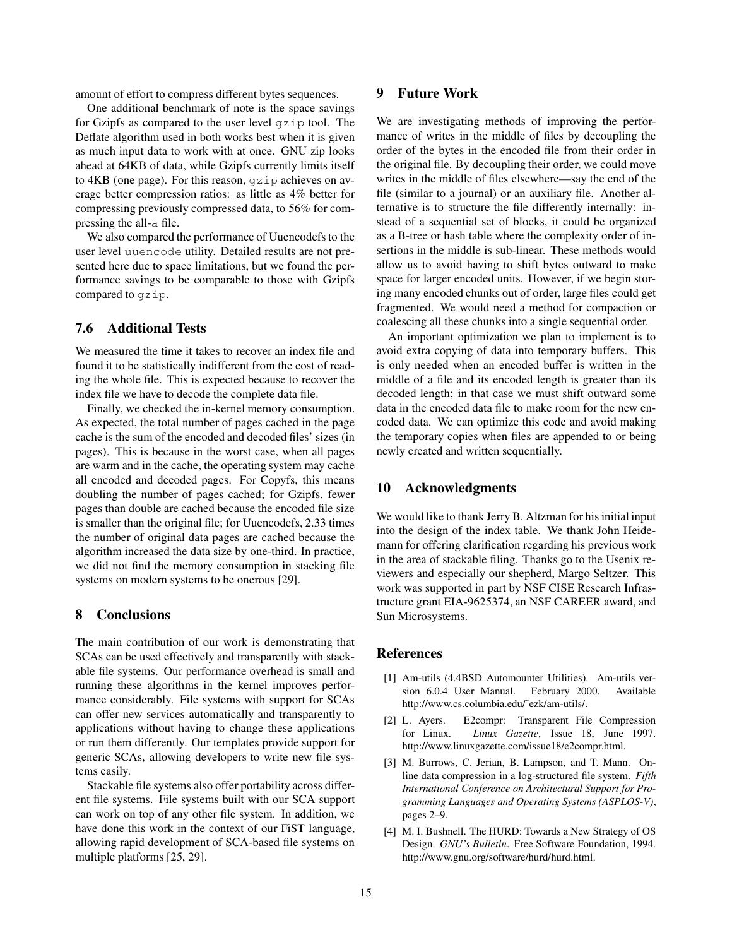amount of effort to compress different bytes sequences.

One additional benchmark of note is the space savings for Gzipfs as compared to the user level gzip tool. The Deflate algorithm used in both works best when it is given as much input data to work with at once. GNU zip looks ahead at 64KB of data, while Gzipfs currently limits itself to 4KB (one page). For this reason, gzip achieves on average better compression ratios: as little as 4% better for compressing previously compressed data, to 56% for compressing the all-a file.

We also compared the performance of Uuencodefs to the user level uuencode utility. Detailed results are not presented here due to space limitations, but we found the performance savings to be comparable to those with Gzipfs compared to gzip.

# **7.6 Additional Tests**

We measured the time it takes to recover an index file and found it to be statistically indifferent from the cost of reading the whole file. This is expected because to recover the index file we have to decode the complete data file.

Finally, we checked the in-kernel memory consumption. As expected, the total number of pages cached in the page cache is the sum of the encoded and decoded files' sizes (in pages). This is because in the worst case, when all pages are warm and in the cache, the operating system may cache all encoded and decoded pages. For Copyfs, this means doubling the number of pages cached; for Gzipfs, fewer pages than double are cached because the encoded file size is smaller than the original file; for Uuencodefs, 2.33 times the number of original data pages are cached because the algorithm increased the data size by one-third. In practice, we did not find the memory consumption in stacking file systems on modern systems to be onerous [29].

### **8 Conclusions**

The main contribution of our work is demonstrating that SCAs can be used effectively and transparently with stackable file systems. Our performance overhead is small and running these algorithms in the kernel improves performance considerably. File systems with support for SCAs can offer new services automatically and transparently to applications without having to change these applications or run them differently. Our templates provide support for generic SCAs, allowing developers to write new file systems easily.

Stackable file systems also offer portability across different file systems. File systems built with our SCA support can work on top of any other file system. In addition, we have done this work in the context of our FiST language, allowing rapid development of SCA-based file systems on multiple platforms [25, 29].

# **9 Future Work**

We are investigating methods of improving the performance of writes in the middle of files by decoupling the order of the bytes in the encoded file from their order in the original file. By decoupling their order, we could move writes in the middle of files elsewhere—say the end of the file (similar to a journal) or an auxiliary file. Another alternative is to structure the file differently internally: instead of a sequential set of blocks, it could be organized as a B-tree or hash table where the complexity order of insertions in the middle is sub-linear. These methods would allow us to avoid having to shift bytes outward to make space for larger encoded units. However, if we begin storing many encoded chunks out of order, large files could get fragmented. We would need a method for compaction or coalescing all these chunks into a single sequential order.

An important optimization we plan to implement is to avoid extra copying of data into temporary buffers. This is only needed when an encoded buffer is written in the middle of a file and its encoded length is greater than its decoded length; in that case we must shift outward some data in the encoded data file to make room for the new encoded data. We can optimize this code and avoid making the temporary copies when files are appended to or being newly created and written sequentially.

### **10 Acknowledgments**

We would like to thank Jerry B. Altzman for his initial input into the design of the index table. We thank John Heidemann for offering clarification regarding his previous work in the area of stackable filing. Thanks go to the Usenix reviewers and especially our shepherd, Margo Seltzer. This work was supported in part by NSF CISE Research Infrastructure grant EIA-9625374, an NSF CAREER award, and Sun Microsystems.

### **References**

- [1] Am-utils (4.4BSD Automounter Utilities). Am-utils version 6.0.4 User Manual. February 2000. Available http://www.cs.columbia.edu/˜ezk/am-utils/.
- [2] L. Ayers. E2compr: Transparent File Compression for Linux. *Linux Gazette*, Issue 18, June 1997. http://www.linuxgazette.com/issue18/e2compr.html.
- [3] M. Burrows, C. Jerian, B. Lampson, and T. Mann. Online data compression in a log-structured file system. *Fifth International Conference on Architectural Support for Programming Languages and Operating Systems (ASPLOS-V)*, pages 2–9.
- [4] M. I. Bushnell. The HURD: Towards a New Strategy of OS Design. *GNU's Bulletin*. Free Software Foundation, 1994. http://www.gnu.org/software/hurd/hurd.html.